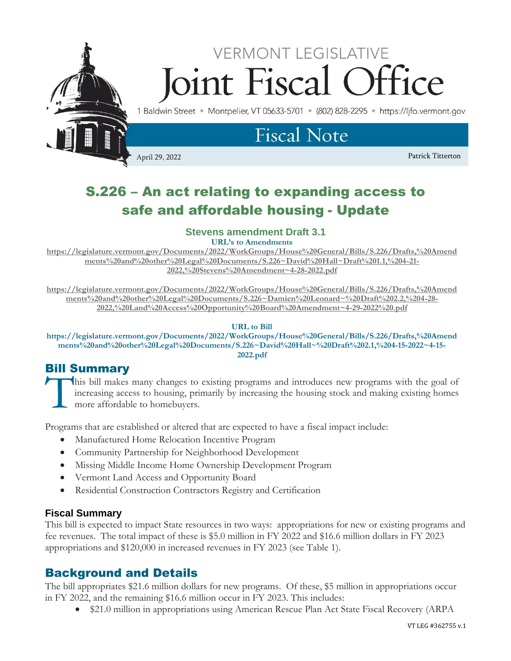

# S.226 – An act relating to expanding access to safe and affordable housing - Update

## **Stevens amendment Draft 3.1**

**URL's to Amendments**

**[https://legislature.vermont.gov/Documents/2022/WorkGroups/House%20General/Bills/S.226/Drafts,%20Amend](https://legislature.vermont.gov/Documents/2022/WorkGroups/House%20General/Bills/S.226/Drafts,%20Amendments%20and%20other%20Legal%20Documents/S.226~David%20Hall~Draft%201.1,%204-21-2022,%20Stevens%20Amendment~4-28-2022.pdf) [ments%20and%20other%20Legal%20Documents/S.226~David%20Hall~Draft%201.1,%204-21-](https://legislature.vermont.gov/Documents/2022/WorkGroups/House%20General/Bills/S.226/Drafts,%20Amendments%20and%20other%20Legal%20Documents/S.226~David%20Hall~Draft%201.1,%204-21-2022,%20Stevens%20Amendment~4-28-2022.pdf) [2022,%20Stevens%20Amendment~4-28-2022.pdf](https://legislature.vermont.gov/Documents/2022/WorkGroups/House%20General/Bills/S.226/Drafts,%20Amendments%20and%20other%20Legal%20Documents/S.226~David%20Hall~Draft%201.1,%204-21-2022,%20Stevens%20Amendment~4-28-2022.pdf)**

**[https://legislature.vermont.gov/Documents/2022/WorkGroups/House%20General/Bills/S.226/Drafts,%20Amend](https://legislature.vermont.gov/Documents/2022/WorkGroups/House%20General/Bills/S.226/Drafts,%20Amendments%20and%20other%20Legal%20Documents/S.226~Damien%20Leonard~%20Draft%202.2,%204-28-2022,%20Land%20Access%20Opportunity%20Board%20Amendment~4-29-2022%20.pdf) [ments%20and%20other%20Legal%20Documents/S.226~Damien%20Leonard~%20Draft%202.2,%204-28-](https://legislature.vermont.gov/Documents/2022/WorkGroups/House%20General/Bills/S.226/Drafts,%20Amendments%20and%20other%20Legal%20Documents/S.226~Damien%20Leonard~%20Draft%202.2,%204-28-2022,%20Land%20Access%20Opportunity%20Board%20Amendment~4-29-2022%20.pdf) [2022,%20Land%20Access%20Opportunity%20Board%20Amendment~4-29-2022%20.pdf](https://legislature.vermont.gov/Documents/2022/WorkGroups/House%20General/Bills/S.226/Drafts,%20Amendments%20and%20other%20Legal%20Documents/S.226~Damien%20Leonard~%20Draft%202.2,%204-28-2022,%20Land%20Access%20Opportunity%20Board%20Amendment~4-29-2022%20.pdf)**

#### **URL to Bill**

**https://legislature.vermont.gov/Documents/2022/WorkGroups/House%20General/Bills/S.226/Drafts,%20Amend ments%20and%20other%20Legal%20Documents/S.226~David%20Hall~%20Draft%202.1,%204-15-2022~4-15- 2022.pdf**

# Bill Summary

his bill makes many changes to existing programs and introduces new programs with the goal of increasing access to housing, primarily by increasing the housing stock and making existing homes more affordable to homebuyers. **T** 

Programs that are established or altered that are expected to have a fiscal impact include:

- Manufactured Home Relocation Incentive Program
- Community Partnership for Neighborhood Development
- Missing Middle Income Home Ownership Development Program
- Vermont Land Access and Opportunity Board
- Residential Construction Contractors Registry and Certification

#### **Fiscal Summary**

This bill is expected to impact State resources in two ways: appropriations for new or existing programs and fee revenues. The total impact of these is \$5.0 million in FY 2022 and \$16.6 million dollars in FY 2023 appropriations and \$120,000 in increased revenues in FY 2023 (see Table 1).

# Background and Details

The bill appropriates \$21.6 million dollars for new programs. Of these, \$5 million in appropriations occur in FY 2022, and the remaining \$16.6 million occur in FY 2023. This includes:

• \$21.0 million in appropriations using American Rescue Plan Act State Fiscal Recovery (ARPA)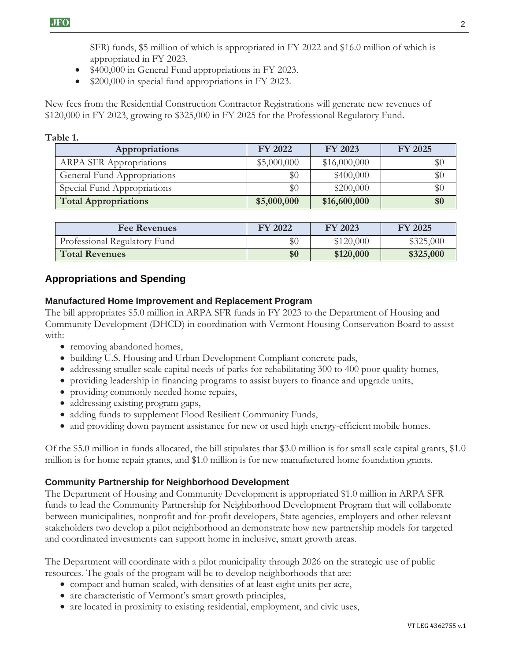SFR) funds, \$5 million of which is appropriated in FY 2022 and \$16.0 million of which is appropriated in FY 2023.

- \$400,000 in General Fund appropriations in FY 2023.
- \$200,000 in special fund appropriations in FY 2023.

New fees from the Residential Construction Contractor Registrations will generate new revenues of \$120,000 in FY 2023, growing to \$325,000 in FY 2025 for the Professional Regulatory Fund.

## **Table 1.**

| Appropriations                 | <b>FY 2022</b> | FY 2023      | FY 2025 |
|--------------------------------|----------------|--------------|---------|
| <b>ARPA SFR Appropriations</b> | \$5,000,000    | \$16,000,000 | $\$0$   |
| General Fund Appropriations    | \$0            | \$400,000    | \$0     |
| Special Fund Appropriations    | $\$0$          | \$200,000    | $\$0$   |
| <b>Total Appropriations</b>    | \$5,000,000    | \$16,600,000 | \$0     |

| <b>Fee Revenues</b>          | <b>FY 2022</b> | <b>FY 2023</b> | <b>FY 2025</b> |
|------------------------------|----------------|----------------|----------------|
| Professional Regulatory Fund | \$0            | \$120,000      | \$325,000      |
| <b>Total Revenues</b>        | \$0            | \$120,000      | \$325,000      |

# **Appropriations and Spending**

# **Manufactured Home Improvement and Replacement Program**

The bill appropriates \$5.0 million in ARPA SFR funds in FY 2023 to the Department of Housing and Community Development (DHCD) in coordination with Vermont Housing Conservation Board to assist with:

- removing abandoned homes,
- building U.S. Housing and Urban Development Compliant concrete pads,
- addressing smaller scale capital needs of parks for rehabilitating 300 to 400 poor quality homes,
- providing leadership in financing programs to assist buyers to finance and upgrade units,
- providing commonly needed home repairs,
- addressing existing program gaps,
- adding funds to supplement Flood Resilient Community Funds,
- and providing down payment assistance for new or used high energy-efficient mobile homes.

Of the \$5.0 million in funds allocated, the bill stipulates that \$3.0 million is for small scale capital grants, \$1.0 million is for home repair grants, and \$1.0 million is for new manufactured home foundation grants.

# **Community Partnership for Neighborhood Development**

The Department of Housing and Community Development is appropriated \$1.0 million in ARPA SFR funds to lead the Community Partnership for Neighborhood Development Program that will collaborate between municipalities, nonprofit and for-profit developers, State agencies, employers and other relevant stakeholders two develop a pilot neighborhood an demonstrate how new partnership models for targeted and coordinated investments can support home in inclusive, smart growth areas.

The Department will coordinate with a pilot municipality through 2026 on the strategic use of public resources. The goals of the program will be to develop neighborhoods that are:

- compact and human-scaled, with densities of at least eight units per acre,
- are characteristic of Vermont's smart growth principles,
- are located in proximity to existing residential, employment, and civic uses,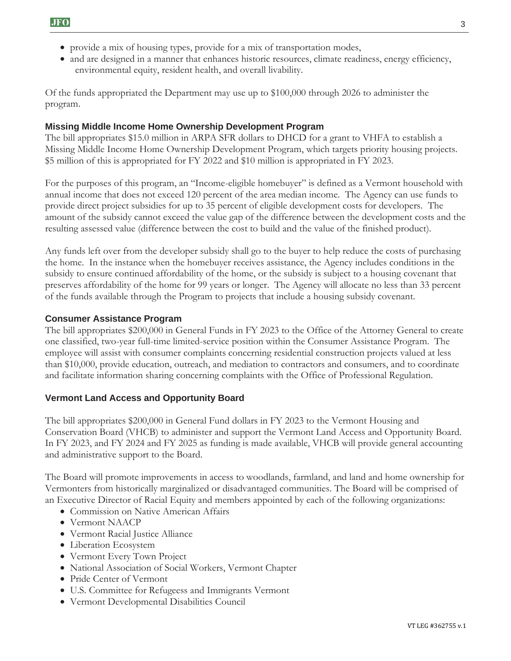- provide a mix of housing types, provide for a mix of transportation modes,
- and are designed in a manner that enhances historic resources, climate readiness, energy efficiency, environmental equity, resident health, and overall livability.

Of the funds appropriated the Department may use up to \$100,000 through 2026 to administer the program.

# **Missing Middle Income Home Ownership Development Program**

The bill appropriates \$15.0 million in ARPA SFR dollars to DHCD for a grant to VHFA to establish a Missing Middle Income Home Ownership Development Program, which targets priority housing projects. \$5 million of this is appropriated for FY 2022 and \$10 million is appropriated in FY 2023.

For the purposes of this program, an "Income-eligible homebuyer" is defined as a Vermont household with annual income that does not exceed 120 percent of the area median income. The Agency can use funds to provide direct project subsidies for up to 35 percent of eligible development costs for developers. The amount of the subsidy cannot exceed the value gap of the difference between the development costs and the resulting assessed value (difference between the cost to build and the value of the finished product).

Any funds left over from the developer subsidy shall go to the buyer to help reduce the costs of purchasing the home. In the instance when the homebuyer receives assistance, the Agency includes conditions in the subsidy to ensure continued affordability of the home, or the subsidy is subject to a housing covenant that preserves affordability of the home for 99 years or longer. The Agency will allocate no less than 33 percent of the funds available through the Program to projects that include a housing subsidy covenant.

## **Consumer Assistance Program**

The bill appropriates \$200,000 in General Funds in FY 2023 to the Office of the Attorney General to create one classified, two-year full-time limited-service position within the Consumer Assistance Program. The employee will assist with consumer complaints concerning residential construction projects valued at less than \$10,000, provide education, outreach, and mediation to contractors and consumers, and to coordinate and facilitate information sharing concerning complaints with the Office of Professional Regulation.

## **Vermont Land Access and Opportunity Board**

The bill appropriates \$200,000 in General Fund dollars in FY 2023 to the Vermont Housing and Conservation Board (VHCB) to administer and support the Vermont Land Access and Opportunity Board. In FY 2023, and FY 2024 and FY 2025 as funding is made available, VHCB will provide general accounting and administrative support to the Board.

The Board will promote improvements in access to woodlands, farmland, and land and home ownership for Vermonters from historically marginalized or disadvantaged communities. The Board will be comprised of an Executive Director of Racial Equity and members appointed by each of the following organizations:

- Commission on Native American Affairs
- Vermont NAACP
- Vermont Racial Justice Alliance
- Liberation Ecosystem
- Vermont Every Town Project
- National Association of Social Workers, Vermont Chapter
- Pride Center of Vermont
- U.S. Committee for Refugeess and Immigrants Vermont
- Vermont Developmental Disabilities Council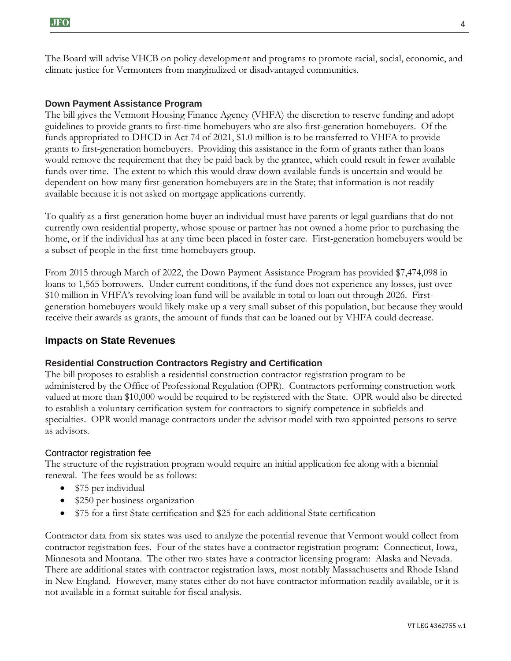The Board will advise VHCB on policy development and programs to promote racial, social, economic, and climate justice for Vermonters from marginalized or disadvantaged communities.

#### **Down Payment Assistance Program**

The bill gives the Vermont Housing Finance Agency (VHFA) the discretion to reserve funding and adopt guidelines to provide grants to first-time homebuyers who are also first-generation homebuyers. Of the funds appropriated to DHCD in Act 74 of 2021, \$1.0 million is to be transferred to VHFA to provide grants to first-generation homebuyers. Providing this assistance in the form of grants rather than loans would remove the requirement that they be paid back by the grantee, which could result in fewer available funds over time. The extent to which this would draw down available funds is uncertain and would be dependent on how many first-generation homebuyers are in the State; that information is not readily available because it is not asked on mortgage applications currently.

To qualify as a first-generation home buyer an individual must have parents or legal guardians that do not currently own residential property, whose spouse or partner has not owned a home prior to purchasing the home, or if the individual has at any time been placed in foster care. First-generation homebuyers would be a subset of people in the first-time homebuyers group.

From 2015 through March of 2022, the Down Payment Assistance Program has provided \$7,474,098 in loans to 1,565 borrowers. Under current conditions, if the fund does not experience any losses, just over \$10 million in VHFA's revolving loan fund will be available in total to loan out through 2026. Firstgeneration homebuyers would likely make up a very small subset of this population, but because they would receive their awards as grants, the amount of funds that can be loaned out by VHFA could decrease.

## **Impacts on State Revenues**

#### **Residential Construction Contractors Registry and Certification**

The bill proposes to establish a residential construction contractor registration program to be administered by the Office of Professional Regulation (OPR). Contractors performing construction work valued at more than \$10,000 would be required to be registered with the State. OPR would also be directed to establish a voluntary certification system for contractors to signify competence in subfields and specialties. OPR would manage contractors under the advisor model with two appointed persons to serve as advisors.

#### Contractor registration fee

The structure of the registration program would require an initial application fee along with a biennial renewal. The fees would be as follows:

- \$75 per individual
- \$250 per business organization
- \$75 for a first State certification and \$25 for each additional State certification

Contractor data from six states was used to analyze the potential revenue that Vermont would collect from contractor registration fees. Four of the states have a contractor registration program: Connecticut, Iowa, Minnesota and Montana. The other two states have a contractor licensing program: Alaska and Nevada. There are additional states with contractor registration laws, most notably Massachusetts and Rhode Island in New England. However, many states either do not have contractor information readily available, or it is not available in a format suitable for fiscal analysis.